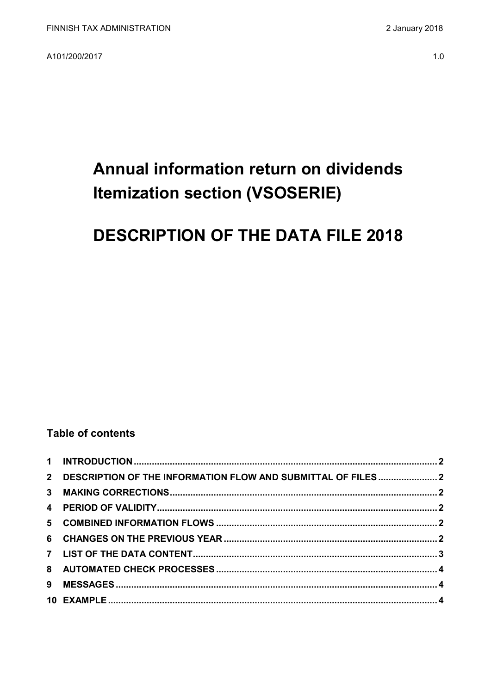A101/200/2017

# Annual information return on dividends **Itemization section (VSOSERIE)**

# **DESCRIPTION OF THE DATA FILE 2018**

### **Table of contents**

| 2 DESCRIPTION OF THE INFORMATION FLOW AND SUBMITTAL OF FILES 2 |  |
|----------------------------------------------------------------|--|
|                                                                |  |
|                                                                |  |
|                                                                |  |
|                                                                |  |
|                                                                |  |
|                                                                |  |
|                                                                |  |
|                                                                |  |
|                                                                |  |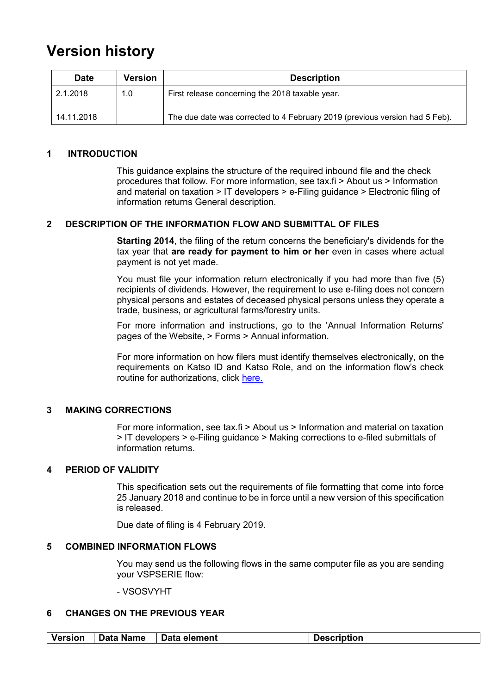## **Version history**

| <b>Date</b> | Version | <b>Description</b>                                                          |
|-------------|---------|-----------------------------------------------------------------------------|
| 2.1.2018    | 1.0     | First release concerning the 2018 taxable year.                             |
| 14.11.2018  |         | The due date was corrected to 4 February 2019 (previous version had 5 Feb). |

#### <span id="page-1-0"></span>**1 INTRODUCTION**

This guidance explains the structure of the required inbound file and the check procedures that follow. For more information, see tax.fi > About us > Information and material on taxation > IT developers > e-Filing guidance > Electronic filing of information returns General description.

#### <span id="page-1-1"></span>**2 DESCRIPTION OF THE INFORMATION FLOW AND SUBMITTAL OF FILES**

**Starting 2014**, the filing of the return concerns the beneficiary's dividends for the tax year that **are ready for payment to him or her** even in cases where actual payment is not yet made.

You must file your information return electronically if you had more than five (5) recipients of dividends. However, the requirement to use e-filing does not concern physical persons and estates of deceased physical persons unless they operate a trade, business, or agricultural farms/forestry units.

For more information and instructions, go to the 'Annual Information Returns' pages of the Website, > Forms > Annual information.

For more information on how filers must identify themselves electronically, on the requirements on Katso ID and Katso Role, and on the information flow's check routine for authorizations, click [here.](https://www.ilmoitin.fi/webtamo/sivut/IlmoituslajiRoolit?kieli=en&tv=VSOSERIE)

#### <span id="page-1-2"></span>**3 MAKING CORRECTIONS**

For more information, see tax.fi > About us > Information and material on taxation > IT developers > e-Filing guidance > Making corrections to e-filed submittals of information returns.

#### <span id="page-1-3"></span>**4 PERIOD OF VALIDITY**

This specification sets out the requirements of file formatting that come into force 25 January 2018 and continue to be in force until a new version of this specification is released.

Due date of filing is 4 February 2019.

#### <span id="page-1-4"></span>**5 COMBINED INFORMATION FLOWS**

You may send us the following flows in the same computer file as you are sending your VSPSERIE flow:

- VSOSVYHT

#### <span id="page-1-5"></span>**6 CHANGES ON THE PREVIOUS YEAR**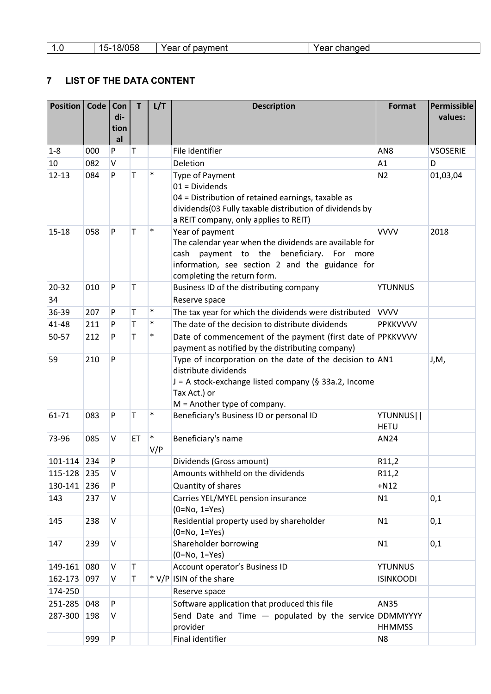| U | 100 <sub>5</sub><br>$-$<br>้บวด<br>. . J.<br>. OK | payment<br>7ear<br>ΟĪ | 'ear changed |
|---|---------------------------------------------------|-----------------------|--------------|
|---|---------------------------------------------------|-----------------------|--------------|

### <span id="page-2-0"></span>**7 LIST OF THE DATA CONTENT**

| <b>Position</b> | Code | Con<br>di-<br>tion<br>al | T  | L/T           | <b>Description</b>                                                                                                                                                                                          | <b>Format</b>            | Permissible<br>values: |
|-----------------|------|--------------------------|----|---------------|-------------------------------------------------------------------------------------------------------------------------------------------------------------------------------------------------------------|--------------------------|------------------------|
| $1 - 8$         | 000  | P                        | T  |               | File identifier                                                                                                                                                                                             | AN <sub>8</sub>          | <b>VSOSERIE</b>        |
| 10              | 082  | V                        |    |               | Deletion                                                                                                                                                                                                    | A1                       | D                      |
| $12 - 13$       | 084  | P                        | T  | $\ast$        | <b>Type of Payment</b><br>$01 = Dividends$<br>04 = Distribution of retained earnings, taxable as<br>dividends(03 Fully taxable distribution of dividends by<br>a REIT company, only applies to REIT)        | N <sub>2</sub>           | 01,03,04               |
| $15 - 18$       | 058  | P                        | T  | $\ast$        | Year of payment<br>The calendar year when the dividends are available for<br>payment to the beneficiary. For more<br>cash<br>information, see section 2 and the guidance for<br>completing the return form. | <b>VVVV</b>              | 2018                   |
| $20 - 32$       | 010  | P                        | T  |               | Business ID of the distributing company                                                                                                                                                                     | <b>YTUNNUS</b>           |                        |
| 34              |      |                          |    |               | Reserve space                                                                                                                                                                                               |                          |                        |
| 36-39           | 207  | P                        | Τ  | $\ast$        | The tax year for which the dividends were distributed                                                                                                                                                       | <b>VVVV</b>              |                        |
| $41 - 48$       | 211  | P                        | T  | $\ast$        | The date of the decision to distribute dividends                                                                                                                                                            | <b>PPKKVVVV</b>          |                        |
| 50-57           | 212  | P                        | T  | $\ast$        | Date of commencement of the payment (first date of PPKKVVVV<br>payment as notified by the distributing company)                                                                                             |                          |                        |
| 59              | 210  | P                        |    |               | Type of incorporation on the date of the decision to AN1<br>distribute dividends<br>J = A stock-exchange listed company (§ 33a.2, Income<br>Tax Act.) or<br>$M =$ Another type of company.                  |                          | J,M,                   |
| 61-71           | 083  | P                        | Τ  | $\ast$        | Beneficiary's Business ID or personal ID                                                                                                                                                                    | YTUNNUS  <br><b>HETU</b> |                        |
| 73-96           | 085  | V                        | ET | $\ast$<br>V/P | Beneficiary's name                                                                                                                                                                                          | AN24                     |                        |
| 101-114         | 234  | P                        |    |               | Dividends (Gross amount)                                                                                                                                                                                    | R11,2                    |                        |
| 115-128         | 235  | V                        |    |               | Amounts withheld on the dividends                                                                                                                                                                           | R11,2                    |                        |
| 130-141         | 236  | P                        |    |               | Quantity of shares                                                                                                                                                                                          | $+N12$                   |                        |
| 143             | 237  | V                        |    |               | Carries YEL/MYEL pension insurance<br>$(0=No, 1=Yes)$                                                                                                                                                       | N1                       | 0,1                    |
| 145             | 238  | V                        |    |               | Residential property used by shareholder<br>$(0=No, 1=Yes)$                                                                                                                                                 | N1                       | 0,1                    |
| 147             | 239  | V                        |    |               | Shareholder borrowing<br>$(0=No, 1=Yes)$                                                                                                                                                                    | N1                       | 0,1                    |
| 149-161         | 080  | V                        | T  |               | Account operator's Business ID                                                                                                                                                                              | <b>YTUNNUS</b>           |                        |
| 162-173         | 097  | V                        | T  |               | * V/P ISIN of the share                                                                                                                                                                                     | <b>ISINKOODI</b>         |                        |
| 174-250         |      |                          |    |               | Reserve space                                                                                                                                                                                               |                          |                        |
| 251-285         | 048  | P                        |    |               | Software application that produced this file                                                                                                                                                                | <b>AN35</b>              |                        |
| 287-300         | 198  | V                        |    |               | Send Date and Time $-$ populated by the service DDMMYYYY<br>provider                                                                                                                                        | <b>HHMMSS</b>            |                        |
|                 | 999  | P                        |    |               | Final identifier                                                                                                                                                                                            | N <sub>8</sub>           |                        |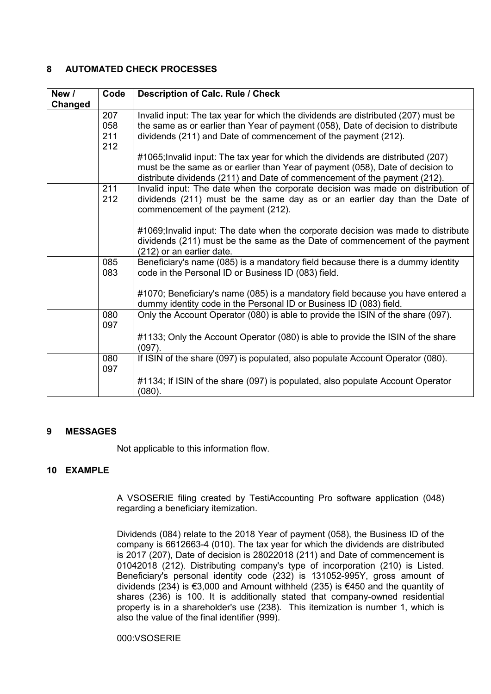#### <span id="page-3-0"></span>**8 AUTOMATED CHECK PROCESSES**

| New /   | Code       | <b>Description of Calc. Rule / Check</b>                                          |
|---------|------------|-----------------------------------------------------------------------------------|
| Changed |            |                                                                                   |
|         | 207        | Invalid input: The tax year for which the dividends are distributed (207) must be |
|         | 058        | the same as or earlier than Year of payment (058), Date of decision to distribute |
|         | 211<br>212 | dividends (211) and Date of commencement of the payment (212).                    |
|         |            | #1065; Invalid input: The tax year for which the dividends are distributed (207)  |
|         |            | must be the same as or earlier than Year of payment (058), Date of decision to    |
|         |            | distribute dividends (211) and Date of commencement of the payment (212).         |
|         | 211        | Invalid input: The date when the corporate decision was made on distribution of   |
|         | 212        | dividends (211) must be the same day as or an earlier day than the Date of        |
|         |            | commencement of the payment (212).                                                |
|         |            | #1069; Invalid input: The date when the corporate decision was made to distribute |
|         |            | dividends (211) must be the same as the Date of commencement of the payment       |
|         |            | (212) or an earlier date.                                                         |
|         | 085        | Beneficiary's name (085) is a mandatory field because there is a dummy identity   |
|         | 083        | code in the Personal ID or Business ID (083) field.                               |
|         |            |                                                                                   |
|         |            | #1070; Beneficiary's name (085) is a mandatory field because you have entered a   |
|         |            | dummy identity code in the Personal ID or Business ID (083) field.                |
|         | 080        | Only the Account Operator (080) is able to provide the ISIN of the share (097).   |
|         | 097        |                                                                                   |
|         |            | #1133; Only the Account Operator (080) is able to provide the ISIN of the share   |
|         |            | (097).                                                                            |
|         | 080<br>097 | If ISIN of the share (097) is populated, also populate Account Operator (080).    |
|         |            | #1134; If ISIN of the share (097) is populated, also populate Account Operator    |
|         |            | (080).                                                                            |

#### <span id="page-3-1"></span>**9 MESSAGES**

Not applicable to this information flow.

#### <span id="page-3-2"></span>**10 EXAMPLE**

A VSOSERIE filing created by TestiAccounting Pro software application (048) regarding a beneficiary itemization.

Dividends (084) relate to the 2018 Year of payment (058), the Business ID of the company is 6612663-4 (010). The tax year for which the dividends are distributed is 2017 (207), Date of decision is 28022018 (211) and Date of commencement is 01042018 (212). Distributing company's type of incorporation (210) is Listed. Beneficiary's personal identity code (232) is 131052-995Y, gross amount of dividends (234) is €3,000 and Amount withheld (235) is €450 and the quantity of shares (236) is 100. It is additionally stated that company-owned residential property is in a shareholder's use (238). This itemization is number 1, which is also the value of the final identifier (999).

#### 000:VSOSERIE